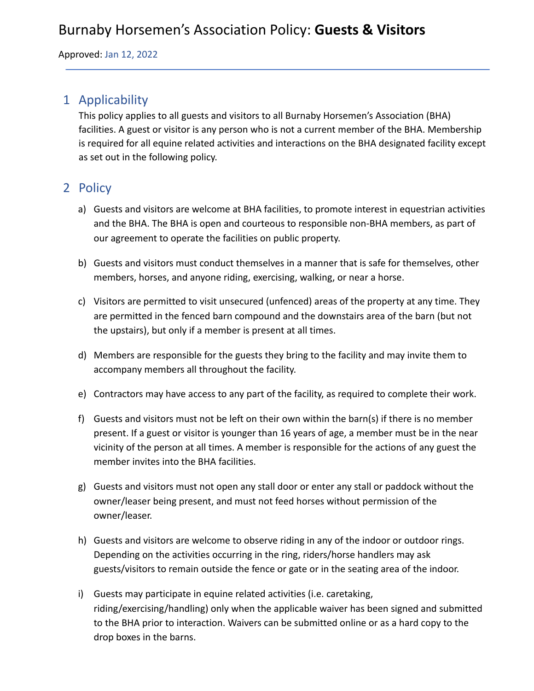Approved: Jan 12, 2022

## 1 Applicability

This policy applies to all guests and visitors to all Burnaby Horsemen's Association (BHA) facilities. A guest or visitor is any person who is not a current member of the BHA. Membership is required for all equine related activities and interactions on the BHA designated facility except as set out in the following policy.

# 2 Policy

- a) Guests and visitors are welcome at BHA facilities, to promote interest in equestrian activities and the BHA. The BHA is open and courteous to responsible non-BHA members, as part of our agreement to operate the facilities on public property.
- b) Guests and visitors must conduct themselves in a manner that is safe for themselves, other members, horses, and anyone riding, exercising, walking, or near a horse.
- c) Visitors are permitted to visit unsecured (unfenced) areas of the property at any time. They are permitted in the fenced barn compound and the downstairs area of the barn (but not the upstairs), but only if a member is present at all times.
- d) Members are responsible for the guests they bring to the facility and may invite them to accompany members all throughout the facility.
- e) Contractors may have access to any part of the facility, as required to complete their work.
- f) Guests and visitors must not be left on their own within the barn(s) if there is no member present. If a guest or visitor is younger than 16 years of age, a member must be in the near vicinity of the person at all times. A member is responsible for the actions of any guest the member invites into the BHA facilities.
- g) Guests and visitors must not open any stall door or enter any stall or paddock without the owner/leaser being present, and must not feed horses without permission of the owner/leaser.
- h) Guests and visitors are welcome to observe riding in any of the indoor or outdoor rings. Depending on the activities occurring in the ring, riders/horse handlers may ask guests/visitors to remain outside the fence or gate or in the seating area of the indoor.
- i) Guests may participate in equine related activities (i.e. caretaking, riding/exercising/handling) only when the applicable waiver has been signed and submitted to the BHA prior to interaction. Waivers can be submitted online or as a hard copy to the drop boxes in the barns.